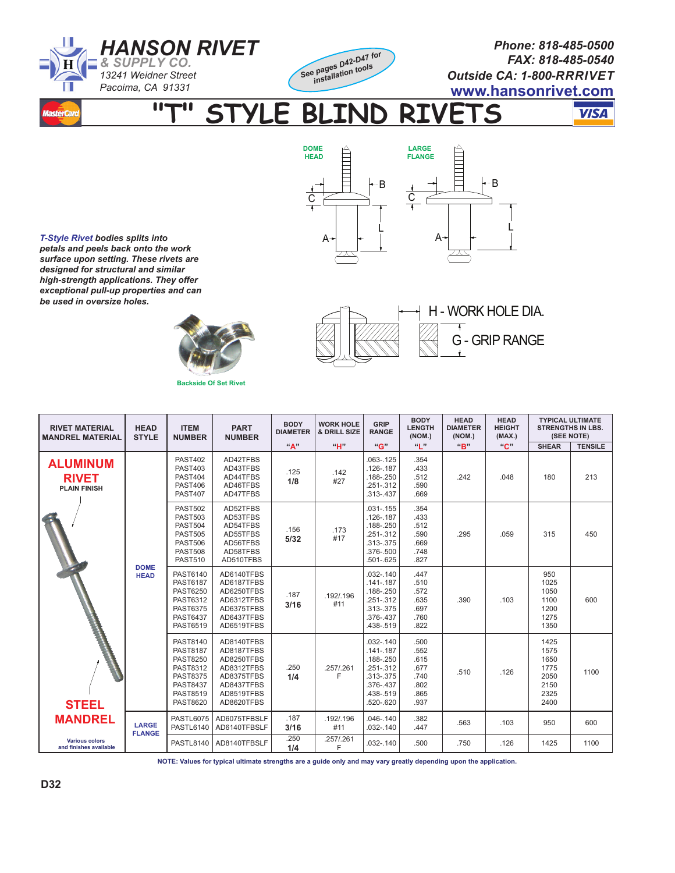



HIII

*Phone: 818-485-0500 FAX: 818-485-0540 Outside CA: 1-800-RRRIVET* **www.hansonrivet.com**

-B

Ļ

**"T" STYLE BLIND RIVETS** 

**DOME HEAD**

 $\overline{C}$ 

 $\cdot$ 

A

**VISA** 

*T-Style Rivet bodies splits into petals and peels back onto the work surface upon setting. These rivets are designed for structural and similar high-strength applications. They offer exceptional pull-up properties and can be used in oversize holes.*





A

IIIID

**LARGE FLANGE**

C

Ļ

B

| <b>RIVET MATERIAL</b><br><b>MANDREL MATERIAL</b>       | <b>HEAD</b><br><b>STYLE</b>   | <b>ITEM</b><br><b>NUMBER</b>                                                                                                                         | <b>PART</b><br><b>NUMBER</b>                                                                                 | <b>BODY</b><br><b>DIAMETER</b> | <b>WORK HOLE</b><br>& DRILL SIZE | GRIP<br><b>RANGE</b>                                                                                         | <b>BODY</b><br><b>LENGTH</b><br>(NOM.)                       | <b>HEAD</b><br><b>DIAMETER</b><br>(NOM.) | <b>HEAD</b><br><b>HEIGHT</b><br>(MAX.) | <b>TYPICAL ULTIMATE</b><br><b>STRENGTHS IN LBS.</b><br>(SEE NOTE) |                |
|--------------------------------------------------------|-------------------------------|------------------------------------------------------------------------------------------------------------------------------------------------------|--------------------------------------------------------------------------------------------------------------|--------------------------------|----------------------------------|--------------------------------------------------------------------------------------------------------------|--------------------------------------------------------------|------------------------------------------|----------------------------------------|-------------------------------------------------------------------|----------------|
|                                                        |                               |                                                                                                                                                      |                                                                                                              | "A"                            | "H"                              | "G"                                                                                                          | $a_{\parallel}$ "                                            | "R"                                      | "C"                                    | <b>SHEAR</b>                                                      | <b>TENSILE</b> |
| <b>ALUMINUM</b><br><b>RIVET</b><br><b>PLAIN FINISH</b> | <b>DOME</b><br><b>HEAD</b>    | <b>PAST402</b><br><b>PAST403</b><br><b>PAST404</b><br><b>PAST406</b><br><b>PAST407</b>                                                               | AD42TFBS<br>AD43TFBS<br>AD44TFBS<br>AD46TFBS<br>AD47TFBS                                                     | .125<br>1/8                    | .142<br>#27                      | $.063 - .125$<br>.126-.187<br>.188-.250<br>$.251 - .312$<br>.313-.437                                        | .354<br>.433<br>.512<br>.590<br>.669                         | .242                                     | .048                                   | 180                                                               | 213            |
| <b>STEEL</b>                                           |                               | <b>PAST502</b><br><b>PAST503</b><br><b>PAST504</b><br><b>PAST505</b><br><b>PAST506</b><br><b>PAST508</b><br><b>PAST510</b>                           | AD52TFBS<br>AD53TFBS<br>AD54TFBS<br>AD55TFBS<br>AD56TFBS<br>AD58TFBS<br>AD510TFBS                            | .156<br>5/32                   | .173<br>#17                      | $.031 - .155$<br>$.126 - .187$<br>.188-.250<br>$.251 - .312$<br>.313-.375<br>.376-.500<br>.501-.625          | .354<br>.433<br>.512<br>.590<br>.669<br>.748<br>.827         | .295                                     | .059                                   | 315                                                               | 450            |
|                                                        |                               | PAST6140<br><b>PAST6187</b><br><b>PAST6250</b><br><b>PAST6312</b><br><b>PAST6375</b><br><b>PAST6437</b><br>PAST6519                                  | AD6140TFBS<br>AD6187TFBS<br>AD6250TFBS<br>AD6312TFBS<br>AD6375TFBS<br>AD6437TFBS<br>AD6519TFBS               | .187<br>3/16                   | .192/.196<br>#11                 | $.032 - .140$<br>$.141 - .187$<br>.188-.250<br>$.251 - .312$<br>.313-.375<br>.376-.437<br>.438-.519          | .447<br>.510<br>.572<br>.635<br>.697<br>.760<br>.822         | .390                                     | .103                                   | 950<br>1025<br>1050<br>1100<br>1200<br>1275<br>1350               | 600            |
|                                                        |                               | <b>PAST8140</b><br><b>PAST8187</b><br><b>PAST8250</b><br><b>PAST8312</b><br><b>PAST8375</b><br><b>PAST8437</b><br><b>PAST8519</b><br><b>PAST8620</b> | AD8140TFBS<br>AD8187TFBS<br>AD8250TFBS<br>AD8312TFBS<br>AD8375TFBS<br>AD8437TFBS<br>AD8519TFBS<br>AD8620TFBS | .250<br>1/4                    | .257/.261<br>F                   | $.032 - .140$<br>$.141 - .187$<br>.188-.250<br>.251-.312<br>.313-.375<br>.376-.437<br>.438-.519<br>.520-.620 | .500<br>.552<br>.615<br>.677<br>.740<br>.802<br>.865<br>.937 | .510                                     | .126                                   | 1425<br>1575<br>1650<br>1775<br>2050<br>2150<br>2325<br>2400      | 1100           |
| <b>MANDREL</b>                                         | <b>LARGE</b><br><b>FLANGE</b> | <b>PASTL6075</b><br>PASTL6140                                                                                                                        | AD6075TFBSLF<br>AD6140TFBSLF                                                                                 | .187<br>3/16                   | .192/.196<br>#11                 | $.046 - .140$<br>$.032 - .140$                                                                               | .382<br>.447                                                 | .563                                     | .103                                   | 950                                                               | 600            |
| <b>Various colors</b><br>and finishes available        |                               | <b>PASTL8140</b>                                                                                                                                     | AD8140TFBSLF                                                                                                 | .250<br>1/4                    | .257/.261<br>F                   | $.032 - .140$                                                                                                | .500                                                         | .750                                     | .126                                   | 1425                                                              | 1100           |

**NOTE: Values for typical ultimate strengths are a guide only and may vary greatly depending upon the application.**